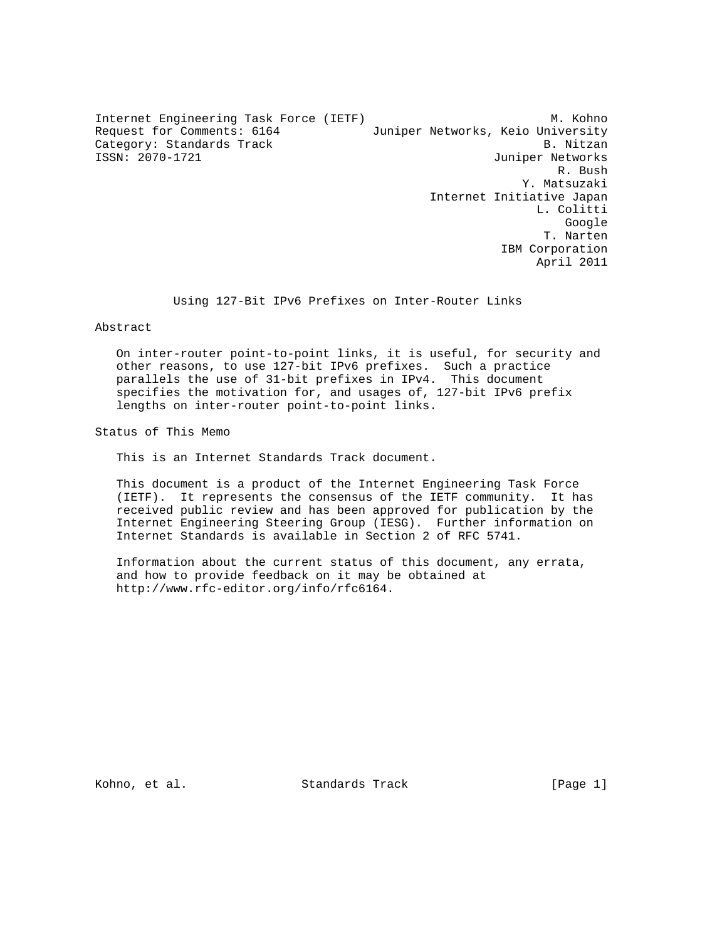Internet Engineering Task Force (IETF) M. Kohno Request for Comments: 6164 Juniper Networks, Keio University Category: Standards Track B. Nitzan B. Nitzan ISSN: 2070-1721 Juniper Networks R. Bush Y. Matsuzaki Internet Initiative Japan L. Colitti google is a straightforward of the control of the control of the control of the control of the control of the c T. Narten IBM Corporation April 2011

Using 127-Bit IPv6 Prefixes on Inter-Router Links

# Abstract

 On inter-router point-to-point links, it is useful, for security and other reasons, to use 127-bit IPv6 prefixes. Such a practice parallels the use of 31-bit prefixes in IPv4. This document specifies the motivation for, and usages of, 127-bit IPv6 prefix lengths on inter-router point-to-point links.

Status of This Memo

This is an Internet Standards Track document.

 This document is a product of the Internet Engineering Task Force (IETF). It represents the consensus of the IETF community. It has received public review and has been approved for publication by the Internet Engineering Steering Group (IESG). Further information on Internet Standards is available in Section 2 of RFC 5741.

 Information about the current status of this document, any errata, and how to provide feedback on it may be obtained at http://www.rfc-editor.org/info/rfc6164.

Kohno, et al. Standards Track [Page 1]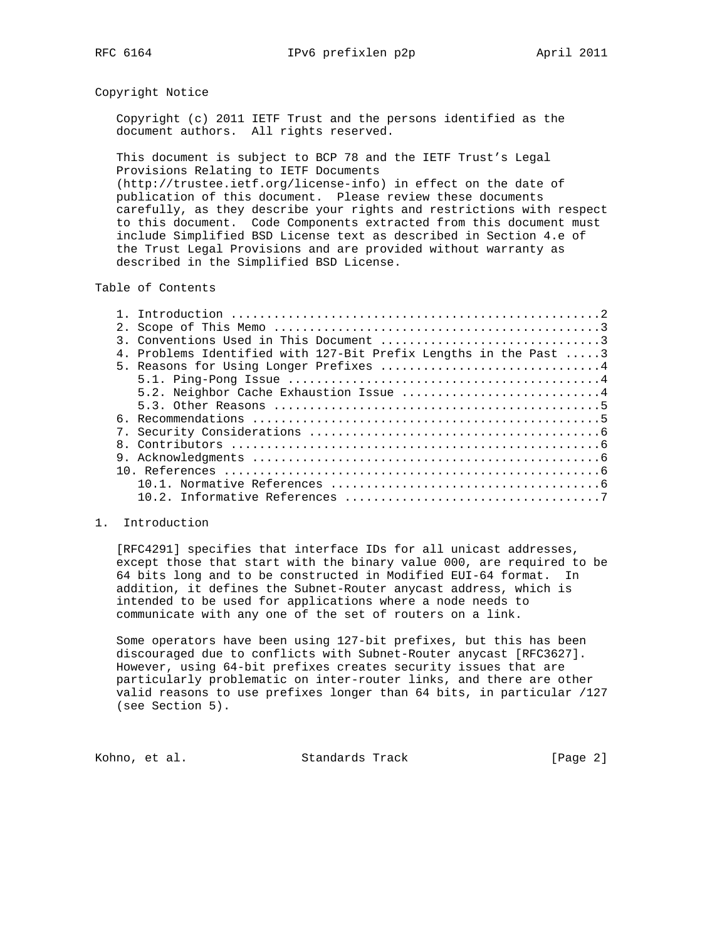## Copyright Notice

 Copyright (c) 2011 IETF Trust and the persons identified as the document authors. All rights reserved.

 This document is subject to BCP 78 and the IETF Trust's Legal Provisions Relating to IETF Documents (http://trustee.ietf.org/license-info) in effect on the date of publication of this document. Please review these documents carefully, as they describe your rights and restrictions with respect

 to this document. Code Components extracted from this document must include Simplified BSD License text as described in Section 4.e of the Trust Legal Provisions and are provided without warranty as described in the Simplified BSD License.

# Table of Contents

| 3. Conventions Used in This Document $\ldots, \ldots, \ldots, \ldots, \ldots, \ldots, \ldots, 3$         |
|----------------------------------------------------------------------------------------------------------|
| 4. Problems Identified with 127-Bit Prefix Lengths in the Past 3                                         |
| 5. Reasons for Using Longer Prefixes 4                                                                   |
|                                                                                                          |
| 5.2. Neighbor Cache Exhaustion Issue 4                                                                   |
| 5.3. Other Reasons $\ldots \ldots \ldots \ldots \ldots \ldots \ldots \ldots \ldots \ldots \ldots \ldots$ |
|                                                                                                          |
|                                                                                                          |
|                                                                                                          |
|                                                                                                          |
|                                                                                                          |
|                                                                                                          |
|                                                                                                          |
|                                                                                                          |

# 1. Introduction

 [RFC4291] specifies that interface IDs for all unicast addresses, except those that start with the binary value 000, are required to be 64 bits long and to be constructed in Modified EUI-64 format. In addition, it defines the Subnet-Router anycast address, which is intended to be used for applications where a node needs to communicate with any one of the set of routers on a link.

 Some operators have been using 127-bit prefixes, but this has been discouraged due to conflicts with Subnet-Router anycast [RFC3627]. However, using 64-bit prefixes creates security issues that are particularly problematic on inter-router links, and there are other valid reasons to use prefixes longer than 64 bits, in particular /127 (see Section 5).

Kohno, et al. Standards Track [Page 2]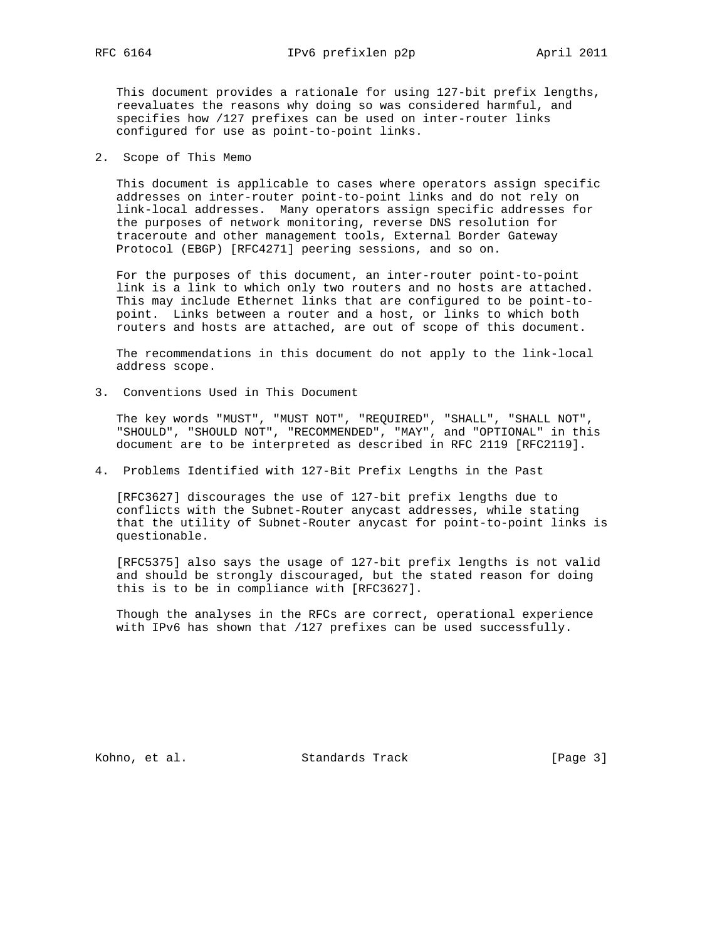This document provides a rationale for using 127-bit prefix lengths, reevaluates the reasons why doing so was considered harmful, and specifies how /127 prefixes can be used on inter-router links configured for use as point-to-point links.

2. Scope of This Memo

 This document is applicable to cases where operators assign specific addresses on inter-router point-to-point links and do not rely on link-local addresses. Many operators assign specific addresses for the purposes of network monitoring, reverse DNS resolution for traceroute and other management tools, External Border Gateway Protocol (EBGP) [RFC4271] peering sessions, and so on.

 For the purposes of this document, an inter-router point-to-point link is a link to which only two routers and no hosts are attached. This may include Ethernet links that are configured to be point-to point. Links between a router and a host, or links to which both routers and hosts are attached, are out of scope of this document.

 The recommendations in this document do not apply to the link-local address scope.

3. Conventions Used in This Document

 The key words "MUST", "MUST NOT", "REQUIRED", "SHALL", "SHALL NOT", "SHOULD", "SHOULD NOT", "RECOMMENDED", "MAY", and "OPTIONAL" in this document are to be interpreted as described in RFC 2119 [RFC2119].

4. Problems Identified with 127-Bit Prefix Lengths in the Past

 [RFC3627] discourages the use of 127-bit prefix lengths due to conflicts with the Subnet-Router anycast addresses, while stating that the utility of Subnet-Router anycast for point-to-point links is questionable.

 [RFC5375] also says the usage of 127-bit prefix lengths is not valid and should be strongly discouraged, but the stated reason for doing this is to be in compliance with [RFC3627].

 Though the analyses in the RFCs are correct, operational experience with IPv6 has shown that /127 prefixes can be used successfully.

Kohno, et al. Standards Track [Page 3]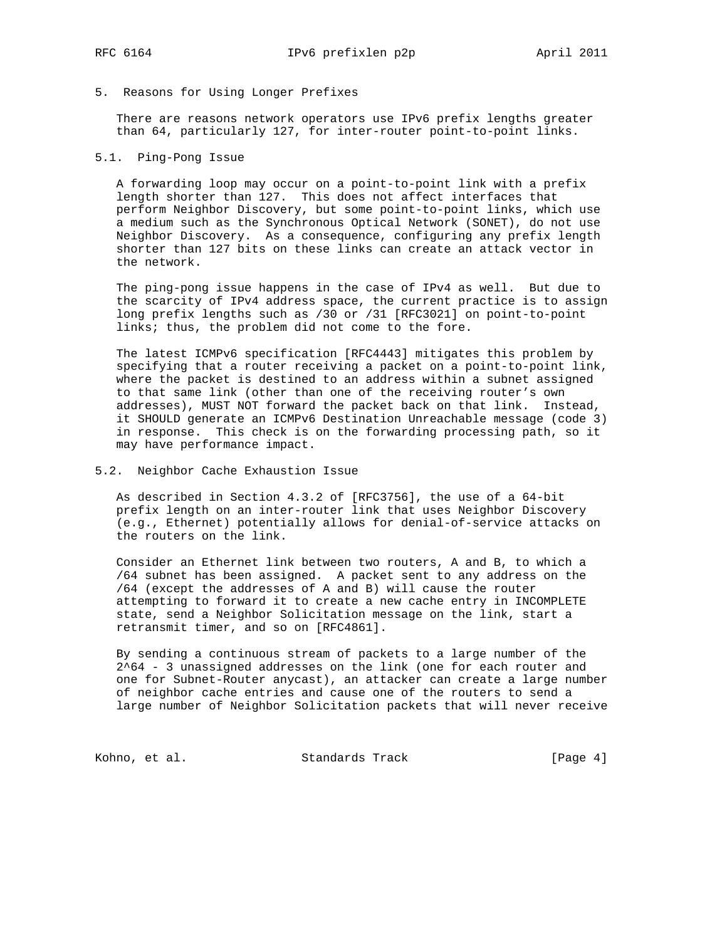## 5. Reasons for Using Longer Prefixes

 There are reasons network operators use IPv6 prefix lengths greater than 64, particularly 127, for inter-router point-to-point links.

## 5.1. Ping-Pong Issue

 A forwarding loop may occur on a point-to-point link with a prefix length shorter than 127. This does not affect interfaces that perform Neighbor Discovery, but some point-to-point links, which use a medium such as the Synchronous Optical Network (SONET), do not use Neighbor Discovery. As a consequence, configuring any prefix length shorter than 127 bits on these links can create an attack vector in the network.

 The ping-pong issue happens in the case of IPv4 as well. But due to the scarcity of IPv4 address space, the current practice is to assign long prefix lengths such as /30 or /31 [RFC3021] on point-to-point links; thus, the problem did not come to the fore.

 The latest ICMPv6 specification [RFC4443] mitigates this problem by specifying that a router receiving a packet on a point-to-point link, where the packet is destined to an address within a subnet assigned to that same link (other than one of the receiving router's own addresses), MUST NOT forward the packet back on that link. Instead, it SHOULD generate an ICMPv6 Destination Unreachable message (code 3) in response. This check is on the forwarding processing path, so it may have performance impact.

#### 5.2. Neighbor Cache Exhaustion Issue

 As described in Section 4.3.2 of [RFC3756], the use of a 64-bit prefix length on an inter-router link that uses Neighbor Discovery (e.g., Ethernet) potentially allows for denial-of-service attacks on the routers on the link.

 Consider an Ethernet link between two routers, A and B, to which a /64 subnet has been assigned. A packet sent to any address on the /64 (except the addresses of A and B) will cause the router attempting to forward it to create a new cache entry in INCOMPLETE state, send a Neighbor Solicitation message on the link, start a retransmit timer, and so on [RFC4861].

 By sending a continuous stream of packets to a large number of the 2^64 - 3 unassigned addresses on the link (one for each router and one for Subnet-Router anycast), an attacker can create a large number of neighbor cache entries and cause one of the routers to send a large number of Neighbor Solicitation packets that will never receive

Kohno, et al. Standards Track [Page 4]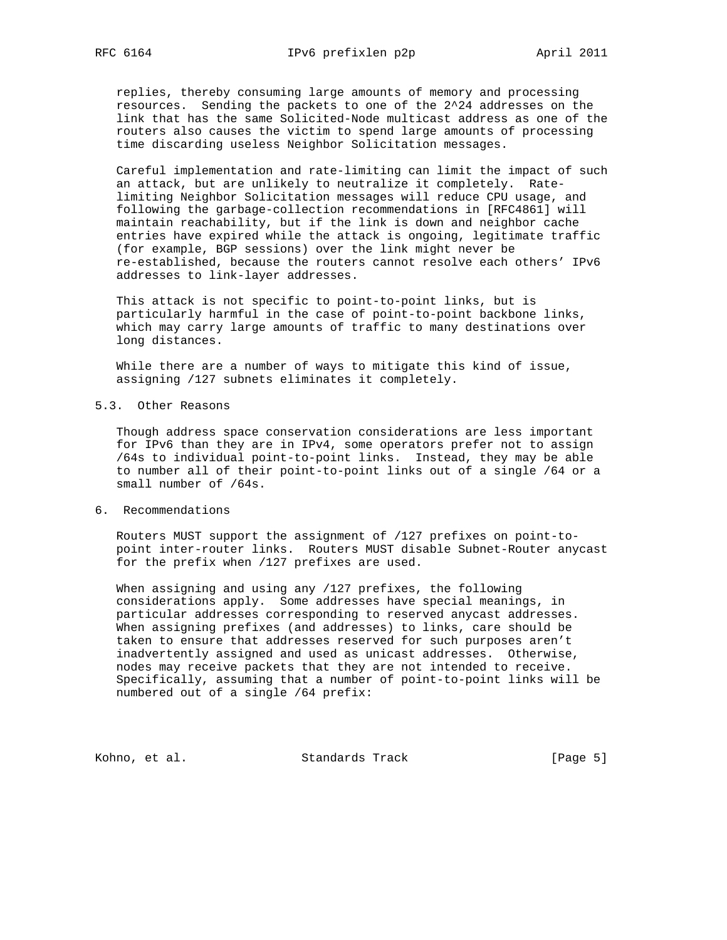replies, thereby consuming large amounts of memory and processing resources. Sending the packets to one of the 2^24 addresses on the link that has the same Solicited-Node multicast address as one of the routers also causes the victim to spend large amounts of processing time discarding useless Neighbor Solicitation messages.

 Careful implementation and rate-limiting can limit the impact of such an attack, but are unlikely to neutralize it completely. Rate limiting Neighbor Solicitation messages will reduce CPU usage, and following the garbage-collection recommendations in [RFC4861] will maintain reachability, but if the link is down and neighbor cache entries have expired while the attack is ongoing, legitimate traffic (for example, BGP sessions) over the link might never be re-established, because the routers cannot resolve each others' IPv6 addresses to link-layer addresses.

 This attack is not specific to point-to-point links, but is particularly harmful in the case of point-to-point backbone links, which may carry large amounts of traffic to many destinations over long distances.

 While there are a number of ways to mitigate this kind of issue, assigning /127 subnets eliminates it completely.

5.3. Other Reasons

 Though address space conservation considerations are less important for IPv6 than they are in IPv4, some operators prefer not to assign /64s to individual point-to-point links. Instead, they may be able to number all of their point-to-point links out of a single /64 or a small number of /64s.

6. Recommendations

 Routers MUST support the assignment of /127 prefixes on point-to point inter-router links. Routers MUST disable Subnet-Router anycast for the prefix when /127 prefixes are used.

 When assigning and using any /127 prefixes, the following considerations apply. Some addresses have special meanings, in particular addresses corresponding to reserved anycast addresses. When assigning prefixes (and addresses) to links, care should be taken to ensure that addresses reserved for such purposes aren't inadvertently assigned and used as unicast addresses. Otherwise, nodes may receive packets that they are not intended to receive. Specifically, assuming that a number of point-to-point links will be numbered out of a single /64 prefix:

Kohno, et al. Standards Track [Page 5]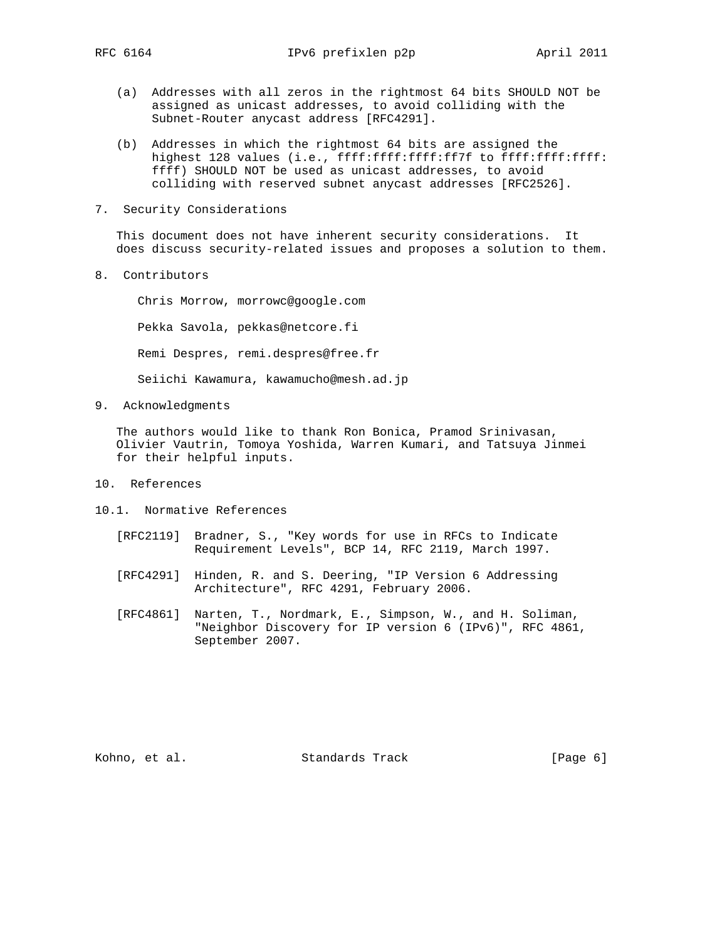- (a) Addresses with all zeros in the rightmost 64 bits SHOULD NOT be assigned as unicast addresses, to avoid colliding with the Subnet-Router anycast address [RFC4291].
- (b) Addresses in which the rightmost 64 bits are assigned the highest 128 values (i.e., ffff:ffff:ffff:ff7f to ffff:ffff:ffff: ffff) SHOULD NOT be used as unicast addresses, to avoid colliding with reserved subnet anycast addresses [RFC2526].
- 7. Security Considerations

 This document does not have inherent security considerations. It does discuss security-related issues and proposes a solution to them.

8. Contributors

 Chris Morrow, morrowc@google.com Pekka Savola, pekkas@netcore.fi Remi Despres, remi.despres@free.fr Seiichi Kawamura, kawamucho@mesh.ad.jp

9. Acknowledgments

 The authors would like to thank Ron Bonica, Pramod Srinivasan, Olivier Vautrin, Tomoya Yoshida, Warren Kumari, and Tatsuya Jinmei for their helpful inputs.

- 10. References
- 10.1. Normative References
	- [RFC2119] Bradner, S., "Key words for use in RFCs to Indicate Requirement Levels", BCP 14, RFC 2119, March 1997.
	- [RFC4291] Hinden, R. and S. Deering, "IP Version 6 Addressing Architecture", RFC 4291, February 2006.
	- [RFC4861] Narten, T., Nordmark, E., Simpson, W., and H. Soliman, "Neighbor Discovery for IP version 6 (IPv6)", RFC 4861, September 2007.

Kohno, et al. Standards Track [Page 6]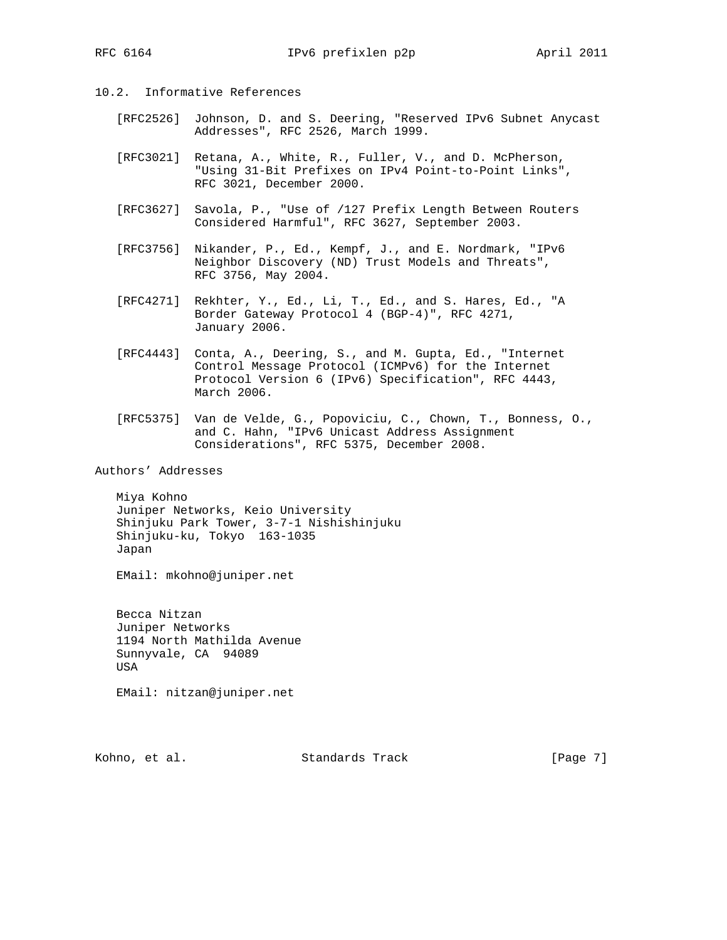- 10.2. Informative References
	- [RFC2526] Johnson, D. and S. Deering, "Reserved IPv6 Subnet Anycast Addresses", RFC 2526, March 1999.
	- [RFC3021] Retana, A., White, R., Fuller, V., and D. McPherson, "Using 31-Bit Prefixes on IPv4 Point-to-Point Links", RFC 3021, December 2000.
	- [RFC3627] Savola, P., "Use of /127 Prefix Length Between Routers Considered Harmful", RFC 3627, September 2003.
	- [RFC3756] Nikander, P., Ed., Kempf, J., and E. Nordmark, "IPv6 Neighbor Discovery (ND) Trust Models and Threats", RFC 3756, May 2004.
	- [RFC4271] Rekhter, Y., Ed., Li, T., Ed., and S. Hares, Ed., "A Border Gateway Protocol 4 (BGP-4)", RFC 4271, January 2006.
	- [RFC4443] Conta, A., Deering, S., and M. Gupta, Ed., "Internet Control Message Protocol (ICMPv6) for the Internet Protocol Version 6 (IPv6) Specification", RFC 4443, March 2006.
	- [RFC5375] Van de Velde, G., Popoviciu, C., Chown, T., Bonness, O., and C. Hahn, "IPv6 Unicast Address Assignment Considerations", RFC 5375, December 2008.

Authors' Addresses

 Miya Kohno Juniper Networks, Keio University Shinjuku Park Tower, 3-7-1 Nishishinjuku Shinjuku-ku, Tokyo 163-1035 Japan

EMail: mkohno@juniper.net

 Becca Nitzan Juniper Networks 1194 North Mathilda Avenue Sunnyvale, CA 94089 USA

EMail: nitzan@juniper.net

Kohno, et al. Standards Track [Page 7]